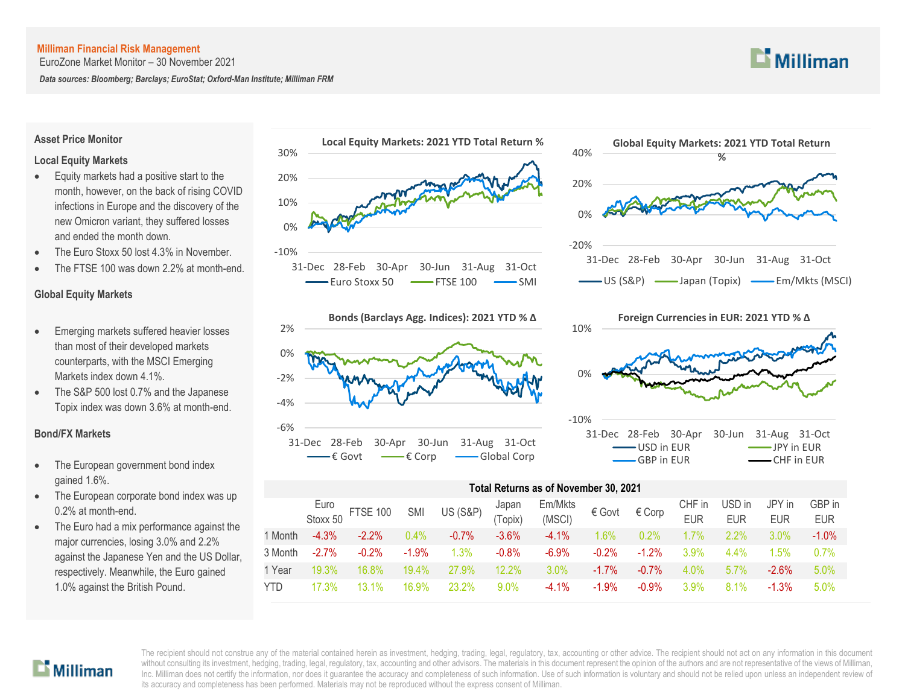EuroZone Market Monitor – 30 November 2021

*Data sources: Bloomberg; Barclays; EuroStat; Oxford-Man Institute; Milliman FRM*

## $\mathbf{L}$  Milliman

### **Asset Price Monitor**

### **Local Equity Markets**

- Equity markets had a positive start to the month, however, on the back of rising COVID infections in Europe and the discovery of the new Omicron variant, they suffered losses and ended the month down.
- The Euro Stoxx 50 lost 4.3% in November.
- The FTSE 100 was down 2.2% at month-end.

### **Global Equity Markets**

- Emerging markets suffered heavier losses than most of their developed markets counterparts, with the MSCI Emerging Markets index down 4.1%.
- The S&P 500 lost 0.7% and the Japanese Topix index was down 3.6% at month-end.

### **Bond/FX Markets**

- The European government bond index gained 1.6%.
- The European corporate bond index was up 0.2% at month-end.
- The Euro had a mix performance against the major currencies, losing 3.0% and 2.2% against the Japanese Yen and the US Dollar, respectively. Meanwhile, the Euro gained 1.0% against the British Pound.









### **Total Returns as of November 30, 2021**

|         |          | Euro<br>Stoxx 50 FTSE 100 SMI |          | US (S&P) <sup>Japan</sup> (Topix) |         | Em/Mkts<br>∴∴∩∩∴ € Govt € Corp<br>(MSCI) |          |          | CHF in<br><b>EUR</b> | USD in<br><b>EUR</b> | JPY in<br><b>EUR</b> | GBP in<br><b>EUR</b> |
|---------|----------|-------------------------------|----------|-----------------------------------|---------|------------------------------------------|----------|----------|----------------------|----------------------|----------------------|----------------------|
| 1 Month | $-4.3%$  | $-2.2\%$                      | $0.4\%$  | $-0.7\%$                          | $-3.6%$ | $-4.1\%$                                 | $1.6\%$  | 0.2%     | $1.7\%$              | $2.2\%$              | $3.0\%$              | $-1.0\%$             |
| 3 Month | $-2.7\%$ | $-0.2\%$                      | $-1.9%$  | 1.3%                              | $-0.8%$ | $-6.9\%$                                 | $-0.2\%$ | $-1.2\%$ | 3.9%                 | $4.4\%$              | 1.5%                 | 0.7%                 |
| 1 Year  | 19.3%    | 16.8%                         | $19.4\%$ | 27.9%                             | 12.2%   | $3.0\%$                                  | $-1.7\%$ | $-0.7\%$ | $4.0\%$              | $5.7\%$              | $-2.6\%$             | 5.0%                 |
| YTD.    | 17.3%    | $13.1\%$                      | 16.9%    | 23.2%                             | $9.0\%$ | $-4.1\%$                                 | $-1.9\%$ | $-0.9\%$ | $3.9\%$              | $8.1\%$              | $-1.3\%$             | 5.0%                 |
|         |          |                               |          |                                   |         |                                          |          |          |                      |                      |                      |                      |

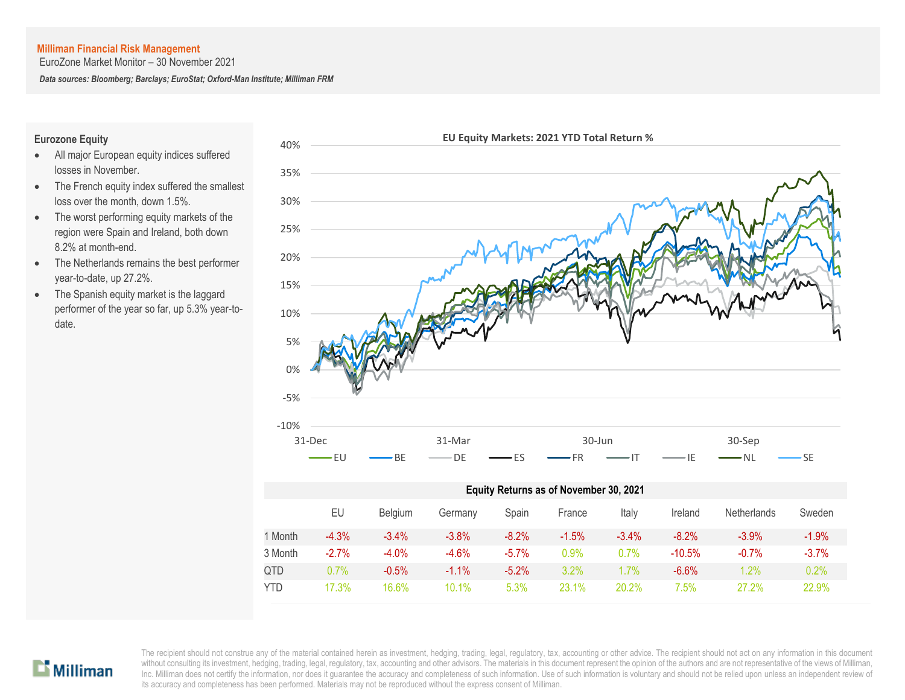EuroZone Market Monitor – 30 November 2021

*Data sources: Bloomberg; Barclays; EuroStat; Oxford-Man Institute; Milliman FRM*

### **Eurozone Equity**

- All major European equity indices suffered losses in November.
- The French equity index suffered the smallest loss over the month, down 1.5%.
- The worst performing equity markets of the region were Spain and Ireland, both down 8.2% at month-end.
- The Netherlands remains the best performer year-to-date, up 27.2%.
- The Spanish equity market is the laggard performer of the year so far, up 5.3% year-todate.



### $\mathbf{D}$  Milliman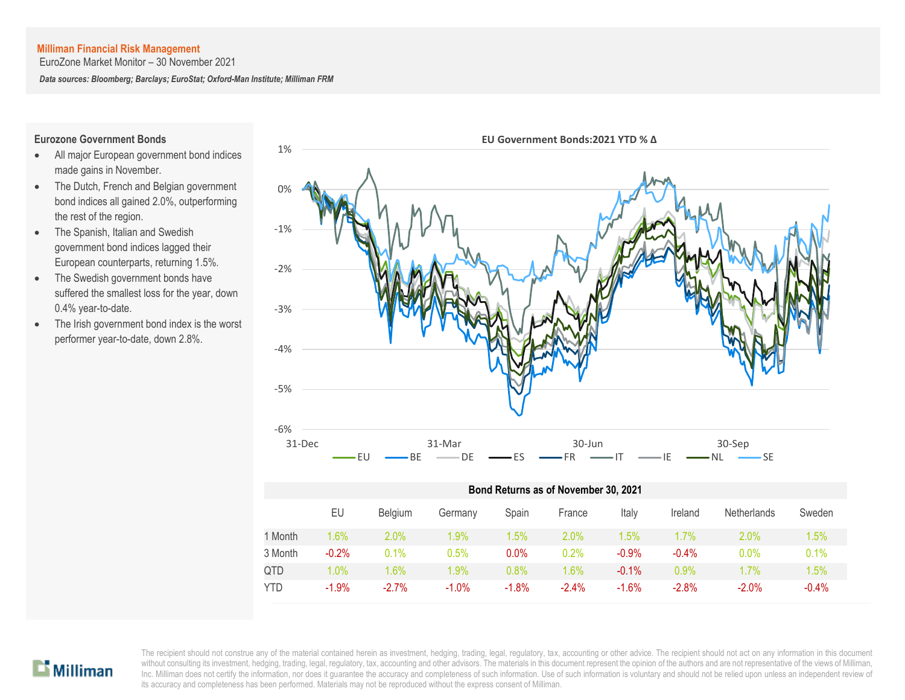EuroZone Market Monitor – 30 November 2021

*Data sources: Bloomberg; Barclays; EuroStat; Oxford-Man Institute; Milliman FRM*

### **Eurozone Government Bonds**

- All major European government bond indices made gains in November.
- The Dutch, French and Belgian government bond indices all gained 2.0%, outperforming the rest of the region.
- The Spanish, Italian and Swedish government bond indices lagged their European counterparts, returning 1.5%.
- The Swedish government bonds have suffered the smallest loss for the year, down 0.4% year-to-date.
- The Irish government bond index is the worst performer year-to-date, down 2.8%.



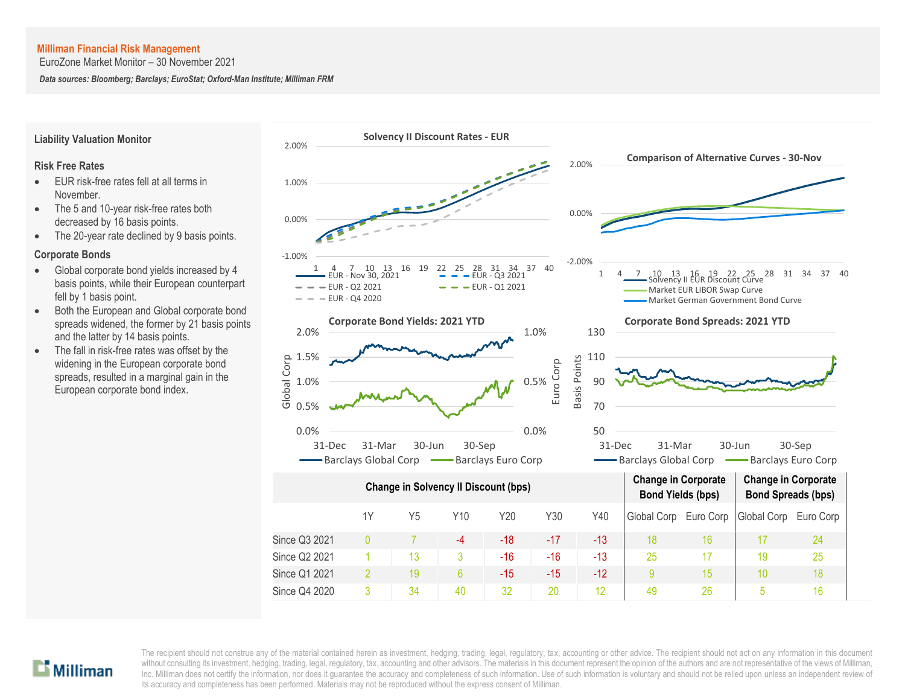EuroZone Market Monitor – 30 November 2021

*Data sources: Bloomberg; Barclays; EuroStat; Oxford-Man Institute; Milliman FRM*



### **Liability Valuation Monitor**

### **Risk Free Rates**

- EUR risk-free rates fell at all terms in November.
- The 5 and 10-year risk-free rates both decreased by 16 basis points.
- The 20-year rate declined by 9 basis points.

### **Corporate Bonds**

- Global corporate bond yields increased by 4 basis points, while their European counterpart fell by 1 basis point.
- Both the European and Global corporate bond spreads widened, the former by 21 basis points and the latter by 14 basis points.
- The fall in risk-free rates was offset by the widening in the European corporate bond spreads, resulted in a marginal gain in the European corporate bond index.

# $\mathbf{L}$  Milliman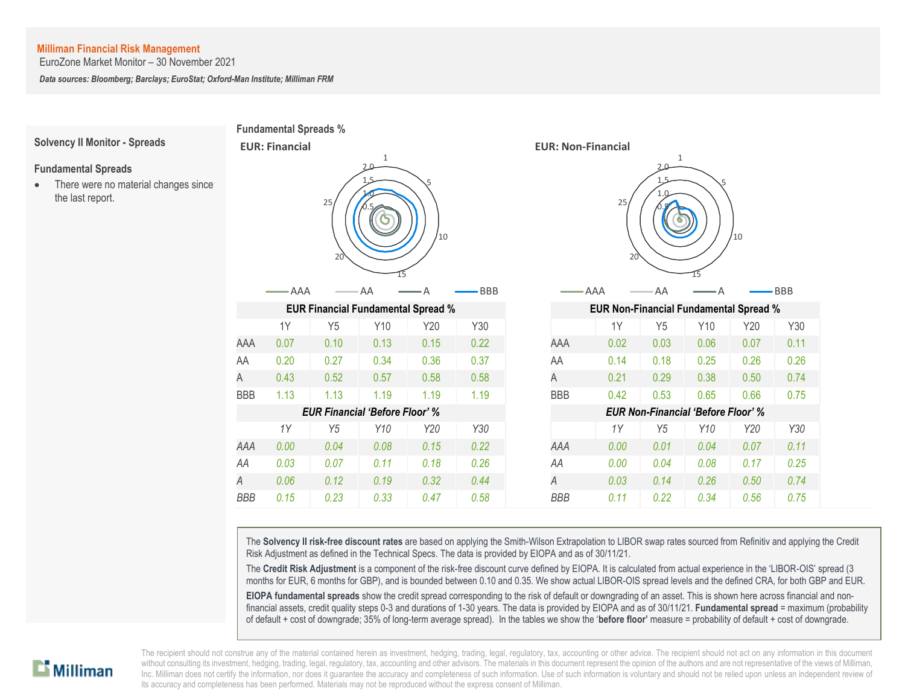the last report.

EuroZone Market Monitor – 30 November 2021

*Data sources: Bloomberg; Barclays; EuroStat; Oxford-Man Institute; Milliman FRM*



The **Solvency II risk-free discount rates** are based on applying the Smith-Wilson Extrapolation to LIBOR swap rates sourced from Refinitiv and applying the Credit Risk Adjustment as defined in the Technical Specs. The data is provided by EIOPA and as of 30/11/21.

The **Credit Risk Adjustment** is a component of the risk-free discount curve defined by EIOPA. It is calculated from actual experience in the 'LIBOR-OIS' spread (3 months for EUR, 6 months for GBP), and is bounded between 0.10 and 0.35. We show actual LIBOR-OIS spread levels and the defined CRA, for both GBP and EUR.

**EIOPA fundamental spreads** show the credit spread corresponding to the risk of default or downgrading of an asset. This is shown here across financial and nonfinancial assets, credit quality steps 0-3 and durations of 1-30 years. The data is provided by EIOPA and as of 30/11/21. **Fundamental spread** = maximum (probability of default + cost of downgrade; 35% of long-term average spread). In the tables we show the '**before floor'** measure = probability of default + cost of downgrade.

![](_page_4_Picture_7.jpeg)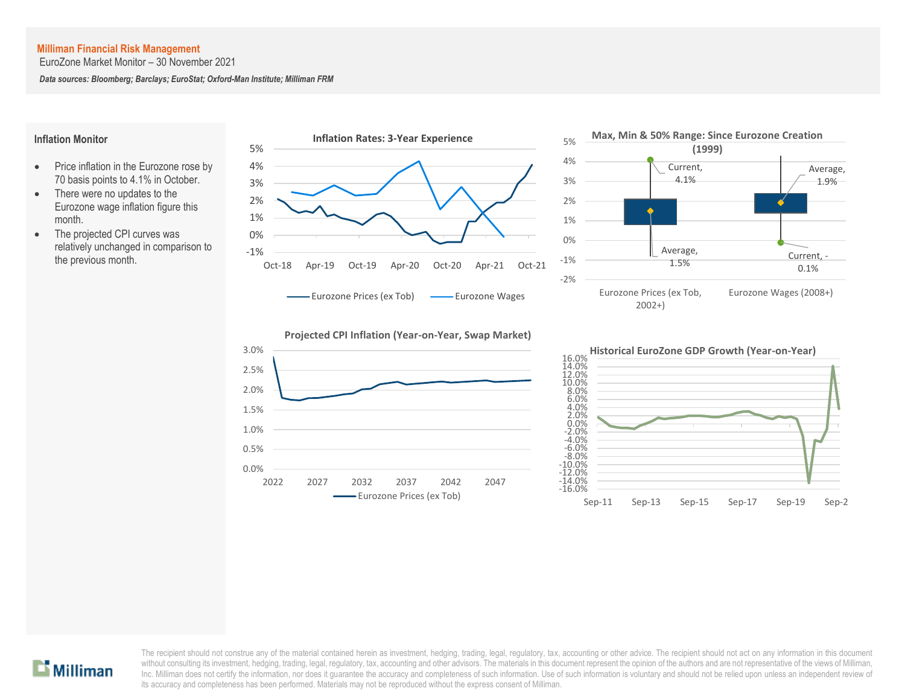EuroZone Market Monitor – 30 November 2021

*Data sources: Bloomberg; Barclays; EuroStat; Oxford-Man Institute; Milliman FRM*

### **Inflation Monitor**

- Price inflation in the Eurozone rose by 70 basis points to 4.1% in October.
- There were no updates to the Eurozone wage inflation figure this month.
- The projected CPI curves was relatively unchanged in comparison to the previous month.

![](_page_5_Figure_7.jpeg)

![](_page_5_Figure_8.jpeg)

![](_page_5_Figure_9.jpeg)

![](_page_5_Figure_10.jpeg)

![](_page_5_Figure_11.jpeg)

![](_page_5_Picture_12.jpeg)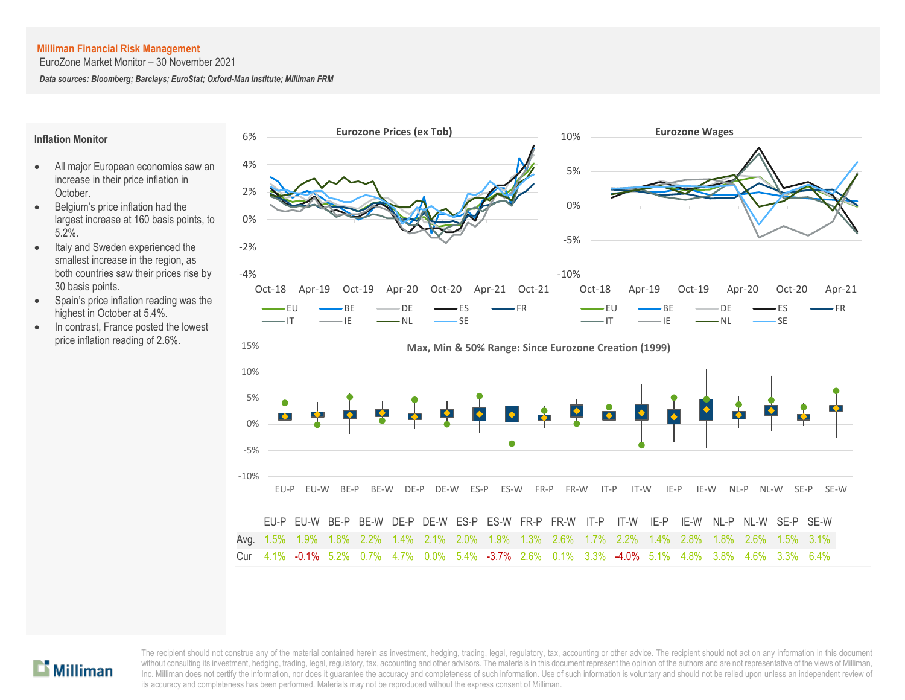EuroZone Market Monitor – 30 November 2021

*Data sources: Bloomberg; Barclays; EuroStat; Oxford-Man Institute; Milliman FRM*

### **Inflation Monitor**

- All major European economies saw an increase in their price inflation in October.
- Belgium's price inflation had the largest increase at 160 basis points, to 5.2%.
- Italy and Sweden experienced the smallest increase in the region, as both countries saw their prices rise by 30 basis points.
- Spain's price inflation reading was the highest in October at 5.4%.
- In contrast, France posted the lowest price inflation reading of 2.6%.

![](_page_6_Figure_9.jpeg)

![](_page_6_Picture_10.jpeg)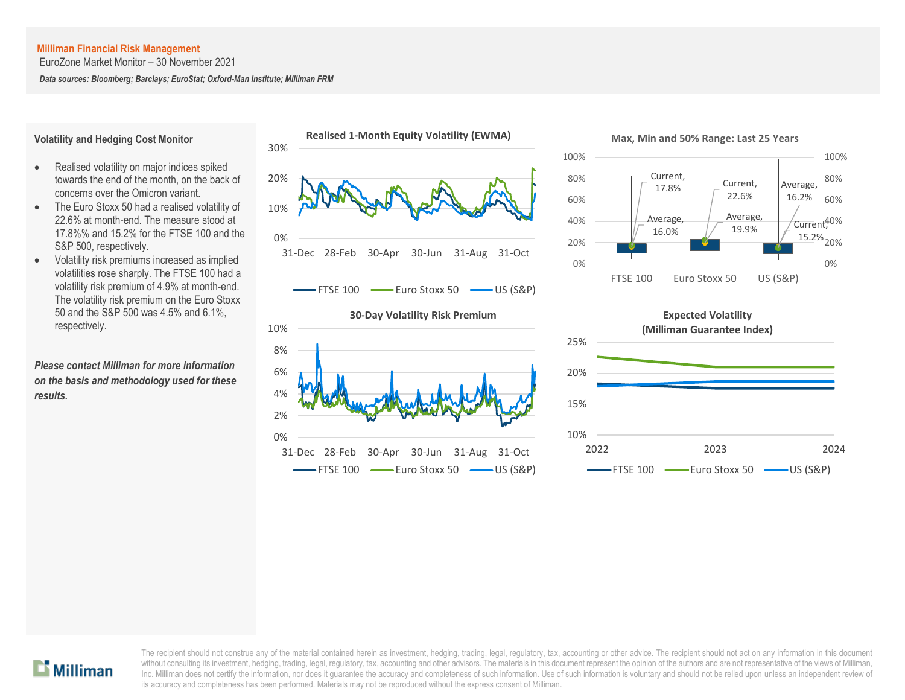EuroZone Market Monitor – 30 November 2021

*Data sources: Bloomberg; Barclays; EuroStat; Oxford-Man Institute; Milliman FRM*

### **Volatility and Hedging Cost Monitor**

- Realised volatility on major indices spiked towards the end of the month, on the back of concerns over the Omicron variant.
- The Euro Stoxx 50 had a realised volatility of 22.6% at month-end. The measure stood at 17.8%% and 15.2% for the FTSE 100 and the S&P 500, respectively.
- Volatility risk premiums increased as implied volatilities rose sharply. The FTSE 100 had a volatility risk premium of 4.9% at month-end. The volatility risk premium on the Euro Stoxx 50 and the S&P 500 was 4.5% and 6.1%, respectively.

*Please contact Milliman for more information on the basis and methodology used for these results.*

![](_page_7_Figure_8.jpeg)

![](_page_7_Figure_9.jpeg)

![](_page_7_Figure_10.jpeg)

![](_page_7_Figure_11.jpeg)

![](_page_7_Figure_12.jpeg)

![](_page_7_Picture_13.jpeg)